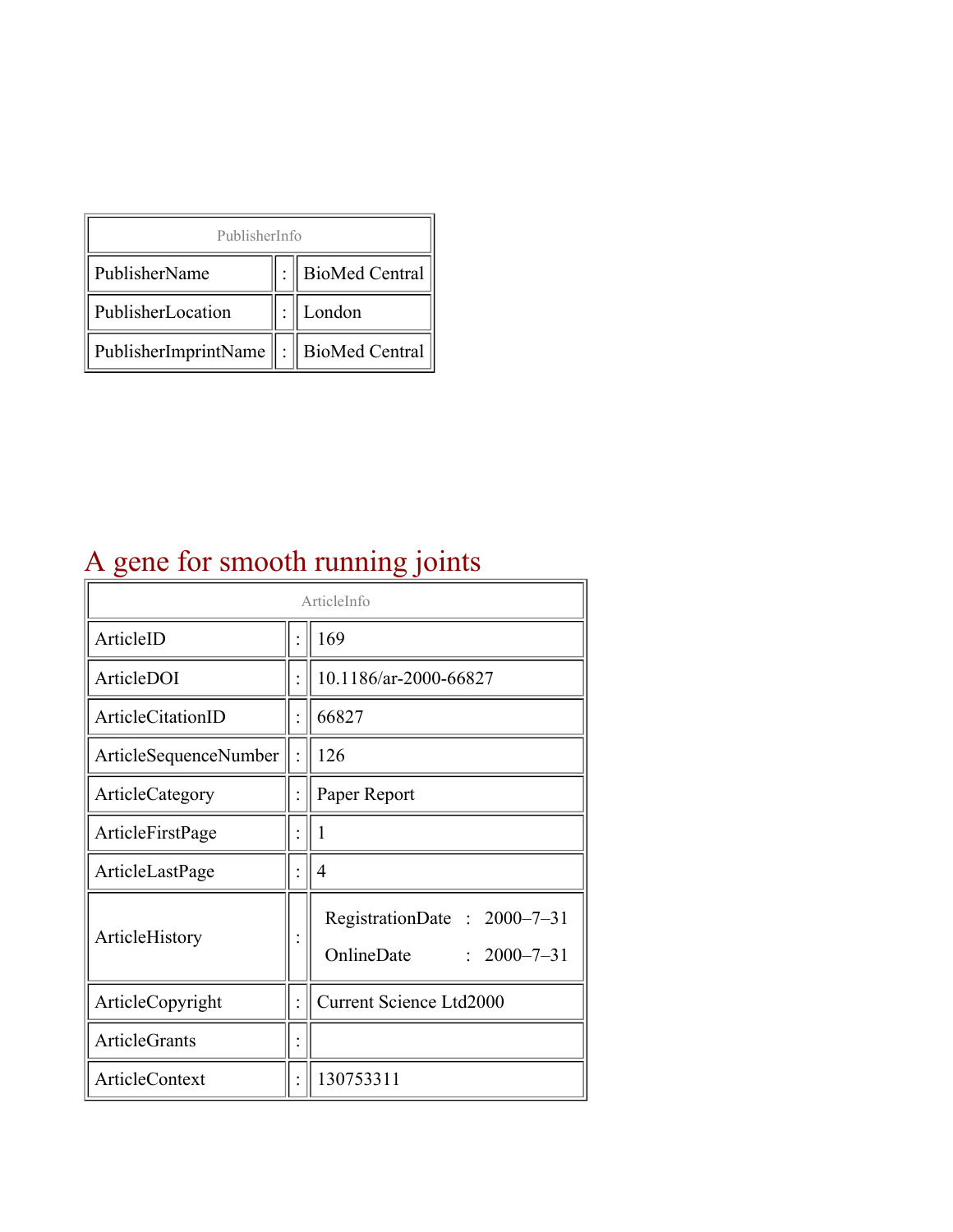| PublisherInfo                               |  |                |  |  |
|---------------------------------------------|--|----------------|--|--|
| PublisherName                               |  | BioMed Central |  |  |
| PublisherLocation                           |  | London         |  |  |
| PublisherImprintName    :    BioMed Central |  |                |  |  |

# A gene for smooth running joints

| ArticleInfo           |  |                                                                |
|-----------------------|--|----------------------------------------------------------------|
| ArticleID             |  | 169                                                            |
| ArticleDOI            |  | 10.1186/ar-2000-66827                                          |
| ArticleCitationID     |  | 66827                                                          |
| ArticleSequenceNumber |  | 126                                                            |
| ArticleCategory       |  | Paper Report                                                   |
| ArticleFirstPage      |  | 1                                                              |
| ArticleLastPage       |  | 4                                                              |
| ArticleHistory        |  | RegistrationDate: 2000-7-31<br>OnlineDate<br>$: 2000 - 7 - 31$ |
| ArticleCopyright      |  | Current Science Ltd2000                                        |
| <b>ArticleGrants</b>  |  |                                                                |
| ArticleContext        |  | 130753311                                                      |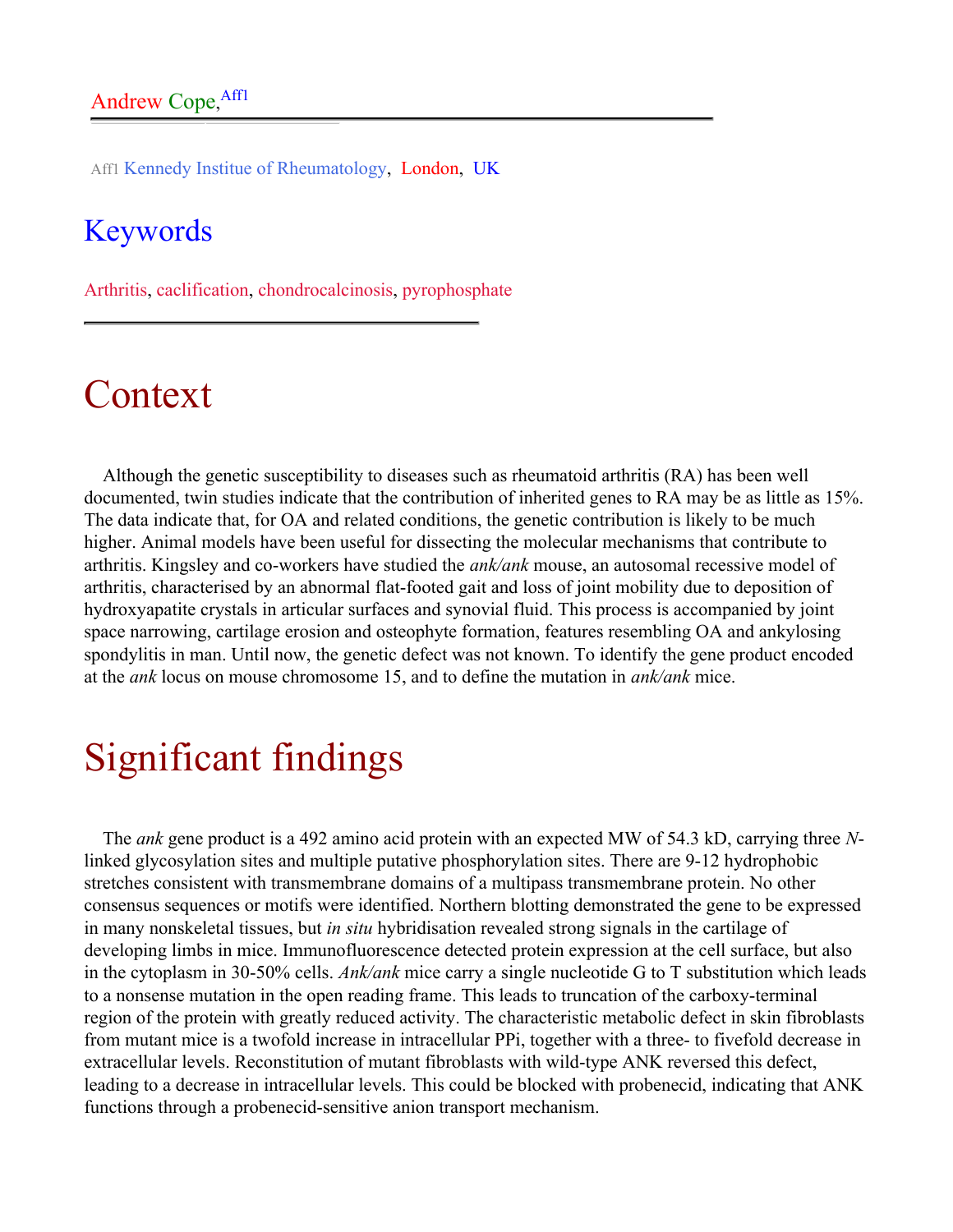Aff1 Kennedy Institue of Rheumatology, London, UK

#### Keywords

Arthritis, caclification, chondrocalcinosis, pyrophosphate

# Context

Although the genetic susceptibility to diseases such as rheumatoid arthritis (RA) has been well documented, twin studies indicate that the contribution of inherited genes to RA may be as little as 15%. The data indicate that, for OA and related conditions, the genetic contribution is likely to be much higher. Animal models have been useful for dissecting the molecular mechanisms that contribute to arthritis. Kingsley and co-workers have studied the *ank/ank* mouse, an autosomal recessive model of arthritis, characterised by an abnormal flat-footed gait and loss of joint mobility due to deposition of hydroxyapatite crystals in articular surfaces and synovial fluid. This process is accompanied by joint space narrowing, cartilage erosion and osteophyte formation, features resembling OA and ankylosing spondylitis in man. Until now, the genetic defect was not known. To identify the gene product encoded at the *ank* locus on mouse chromosome 15, and to define the mutation in *ank/ank* mice.

# Significant findings

The *ank* gene product is a 492 amino acid protein with an expected MW of 54.3 kD, carrying three *N*linked glycosylation sites and multiple putative phosphorylation sites. There are 9-12 hydrophobic stretches consistent with transmembrane domains of a multipass transmembrane protein. No other consensus sequences or motifs were identified. Northern blotting demonstrated the gene to be expressed in many nonskeletal tissues, but *in situ* hybridisation revealed strong signals in the cartilage of developing limbs in mice. Immunofluorescence detected protein expression at the cell surface, but also in the cytoplasm in 30-50% cells. *Ank/ank* mice carry a single nucleotide G to T substitution which leads to a nonsense mutation in the open reading frame. This leads to truncation of the carboxy-terminal region of the protein with greatly reduced activity. The characteristic metabolic defect in skin fibroblasts from mutant mice is a twofold increase in intracellular PPi, together with a three- to fivefold decrease in extracellular levels. Reconstitution of mutant fibroblasts with wild-type ANK reversed this defect, leading to a decrease in intracellular levels. This could be blocked with probenecid, indicating that ANK functions through a probenecid-sensitive anion transport mechanism.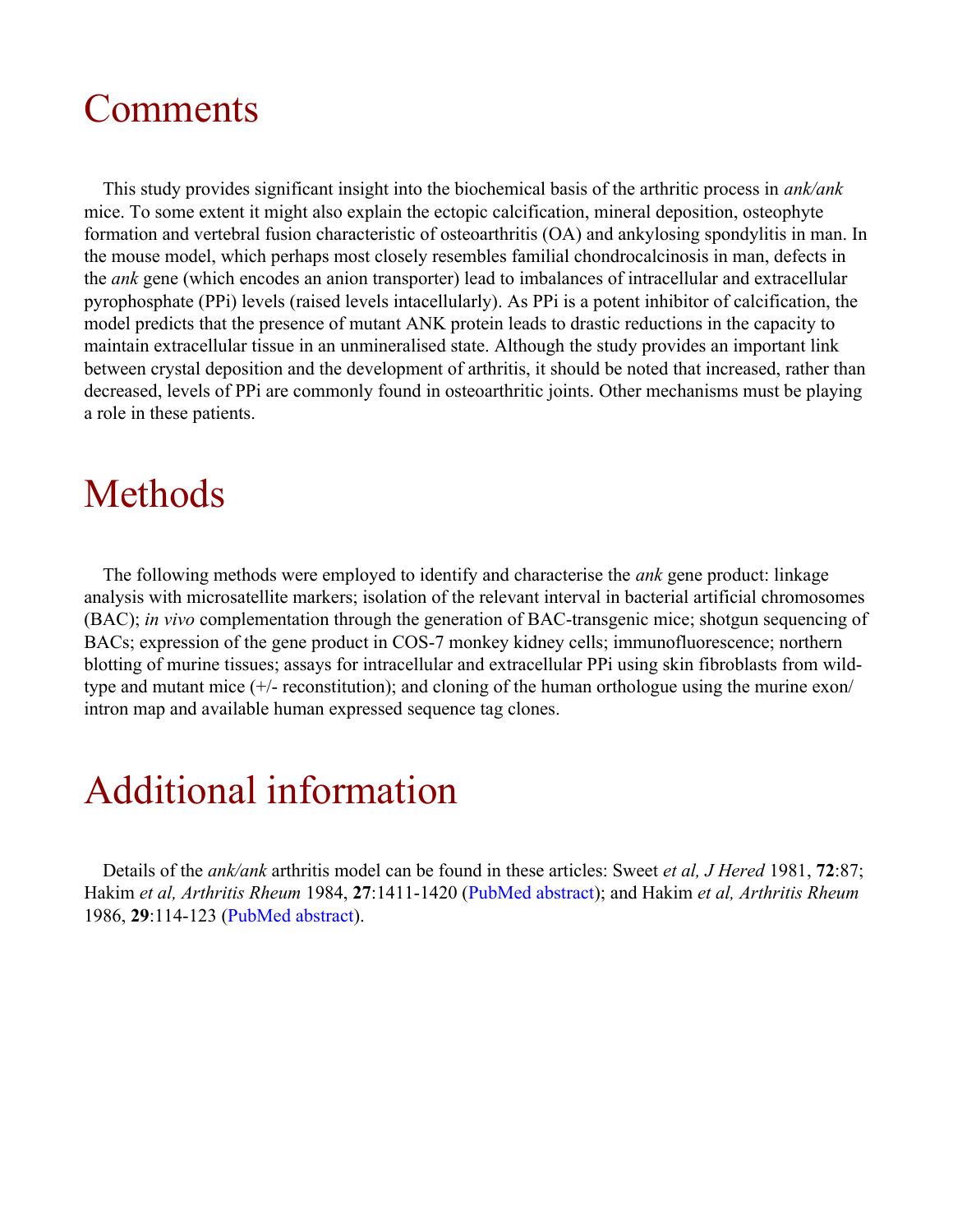### Comments

This study provides significant insight into the biochemical basis of the arthritic process in *ank/ank* mice. To some extent it might also explain the ectopic calcification, mineral deposition, osteophyte formation and vertebral fusion characteristic of osteoarthritis (OA) and ankylosing spondylitis in man. In the mouse model, which perhaps most closely resembles familial chondrocalcinosis in man, defects in the *ank* gene (which encodes an anion transporter) lead to imbalances of intracellular and extracellular pyrophosphate (PPi) levels (raised levels intacellularly). As PPi is a potent inhibitor of calcification, the model predicts that the presence of mutant ANK protein leads to drastic reductions in the capacity to maintain extracellular tissue in an unmineralised state. Although the study provides an important link between crystal deposition and the development of arthritis, it should be noted that increased, rather than decreased, levels of PPi are commonly found in osteoarthritic joints. Other mechanisms must be playing a role in these patients.

### Methods

The following methods were employed to identify and characterise the *ank* gene product: linkage analysis with microsatellite markers; isolation of the relevant interval in bacterial artificial chromosomes (BAC); *in vivo* complementation through the generation of BAC-transgenic mice; shotgun sequencing of BACs; expression of the gene product in COS-7 monkey kidney cells; immunofluorescence; northern blotting of murine tissues; assays for intracellular and extracellular PPi using skin fibroblasts from wildtype and mutant mice (+/- reconstitution); and cloning of the human orthologue using the murine exon/ intron map and available human expressed sequence tag clones.

### Additional information

Details of the *ank/ank* arthritis model can be found in these articles: Sweet *et al, J Hered* 1981, **72**:87; Hakim *et al, Arthritis Rheum* 1984, **27**:1411-1420 ([PubMed abstract\)](http://www.ncbi.nlm.nih.gov/entrez/query.fcgi?cmd=Retrieve&db=PubMed&list_uids=6095872&dopt=Abstract); and Hakim *et al, Arthritis Rheum* 1986, **29**:114-123 [\(PubMed abstract](http://www.ncbi.nlm.nih.gov/entrez/query.fcgi?cmd=Retrieve&db=PubMed&list_uids=3004514&dopt=Abstract)).